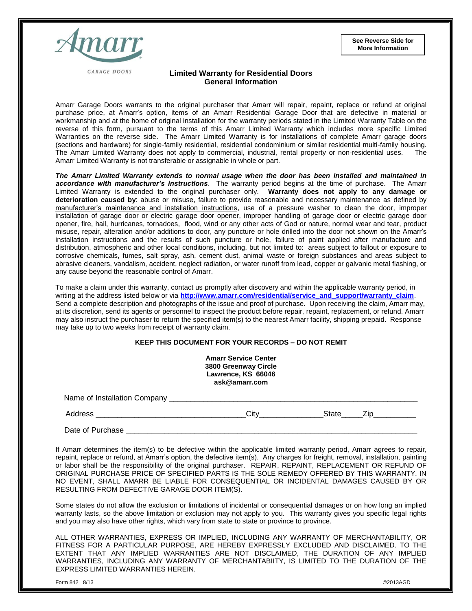**See Reverse Side for More Information**



**GARAGE DOORS** 

## **Limited Warranty for Residential Doors General Information**

Amarr Garage Doors warrants to the original purchaser that Amarr will repair, repaint, replace or refund at original purchase price, at Amarr's option, items of an Amarr Residential Garage Door that are defective in material or workmanship and at the home of original installation for the warranty periods stated in the Limited Warranty Table on the reverse of this form, pursuant to the terms of this Amarr Limited Warranty which includes more specific Limited Warranties on the reverse side. The Amarr Limited Warranty is for installations of complete Amarr garage doors (sections and hardware) for single-family residential, residential condominium or similar residential multi-family housing. The Amarr Limited Warranty does not apply to commercial, industrial, rental property or non-residential uses. The Amarr Limited Warranty is not transferable or assignable in whole or part.

*The Amarr Limited Warranty extends to normal usage when the door has been installed and maintained in accordance with manufacturer's instructions*. The warranty period begins at the time of purchase. The Amarr Limited Warranty is extended to the original purchaser only. **Warranty does not apply to any damage or deterioration caused by**: abuse or misuse, failure to provide reasonable and necessary maintenance as defined by manufacturer's maintenance and installation instructions, use of a pressure washer to clean the door, improper installation of garage door or electric garage door opener, improper handling of garage door or electric garage door opener, fire, hail, hurricanes, tornadoes, flood, wind or any other acts of God or nature, normal wear and tear, product misuse, repair, alteration and/or additions to door, any puncture or hole drilled into the door not shown on the Amarr's installation instructions and the results of such puncture or hole, failure of paint applied after manufacture and distribution, atmospheric and other local conditions, including, but not limited to: areas subject to fallout or exposure to corrosive chemicals, fumes, salt spray, ash, cement dust, animal waste or foreign substances and areas subject to abrasive cleaners, vandalism, accident, neglect radiation, or water runoff from lead, copper or galvanic metal flashing, or any cause beyond the reasonable control of Amarr.

To make a claim under this warranty, contact us promptly after discovery and within the applicable warranty period, in writing at the address listed below or via [http://www.amarr.com/residential/service\\_and\\_support/warranty\\_claim](http://www.amarr.com/residential/service_and_support/warranty_claim). Send a complete description and photographs of the issue and proof of purchase. Upon receiving the claim, Amarr may, at its discretion, send its agents or personnel to inspect the product before repair, repaint, replacement, or refund. Amarr may also instruct the purchaser to return the specified item(s) to the nearest Amarr facility, shipping prepaid. Response may take up to two weeks from receipt of warranty claim.

## **KEEP THIS DOCUMENT FOR YOUR RECORDS – DO NOT REMIT**

| <b>Amarr Service Center</b> |  |
|-----------------------------|--|
| 3800 Greenway Circle        |  |
| Lawrence, KS 66046          |  |
| ask@amarr.com               |  |
|                             |  |

Name of Installation Company \_\_\_\_\_\_\_\_\_\_\_\_\_\_\_\_\_\_\_\_\_\_\_\_\_\_\_\_\_\_\_\_\_\_\_\_\_\_\_\_\_\_\_\_\_\_\_\_\_\_\_\_\_\_\_\_\_\_

Address \_\_\_\_\_\_\_\_\_\_\_\_\_\_\_\_\_\_\_\_\_\_\_\_\_\_\_\_\_\_\_\_\_\_\_City\_\_\_\_\_\_\_\_\_\_\_\_\_\_\_State\_\_\_\_\_Zip\_\_\_\_\_\_\_\_\_\_

Date of Purchase

If Amarr determines the item(s) to be defective within the applicable limited warranty period, Amarr agrees to repair, repaint, replace or refund, at Amarr's option, the defective item(s). Any charges for freight, removal, installation, painting or labor shall be the responsibility of the original purchaser. REPAIR, REPAINT, REPLACEMENT OR REFUND OF ORIGINAL PURCHASE PRICE OF SPECIFIED PARTS IS THE SOLE REMEDY OFFERED BY THIS WARRANTY. IN NO EVENT, SHALL AMARR BE LIABLE FOR CONSEQUENTIAL OR INCIDENTAL DAMAGES CAUSED BY OR RESULTING FROM DEFECTIVE GARAGE DOOR ITEM(S).

Some states do not allow the exclusion or limitations of incidental or consequential damages or on how long an implied warranty lasts, so the above limitation or exclusion may not apply to you. This warranty gives you specific legal rights and you may also have other rights, which vary from state to state or province to province.

ALL OTHER WARRANTIES, EXPRESS OR IMPLIED, INCLUDING ANY WARRANTY OF MERCHANTABILITY, OR FITNESS FOR A PARTICULAR PURPOSE, ARE HEREBY EXPRESSLY EXCLUDED AND DISCLAIMED. TO THE EXTENT THAT ANY IMPLIED WARRANTIES ARE NOT DISCLAIMED, THE DURATION OF ANY IMPLIED WARRANTIES, INCLUDING ANY WARRANTY OF MERCHANTABIITY, IS LIMITED TO THE DURATION OF THE EXPRESS LIMITED WARRANTIES HEREIN.

Form 842 8/13 ©2013AGD